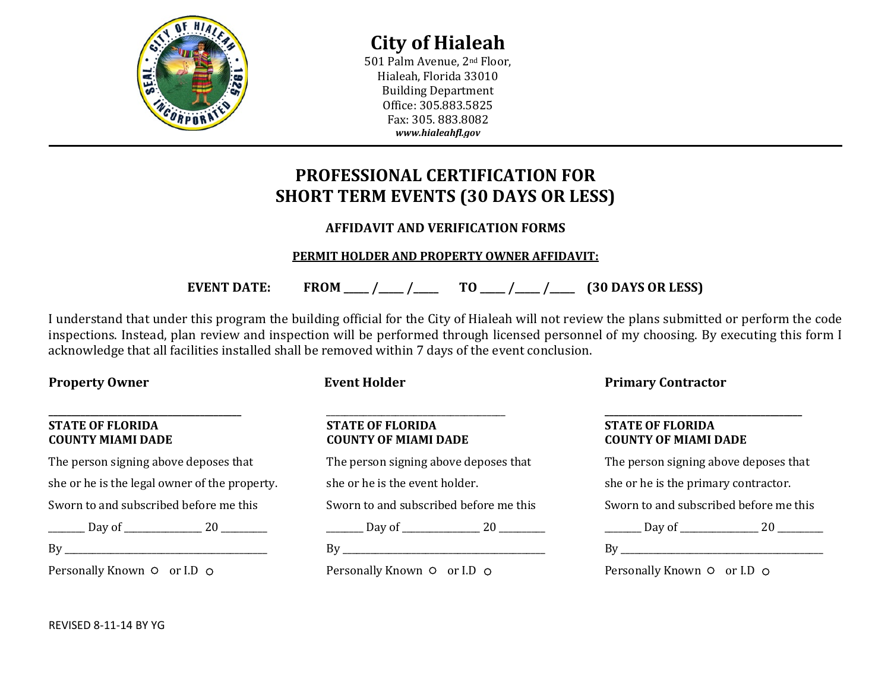

**City of Hialeah**

501 Palm Avenue, 2nd Floor, Hialeah, Florida 33010 Building Department Office: 305.883.5825 Fax: 305. 883.8082 *www.hialeahfl.gov*

# **PROFESSIONAL CERTIFICATION FOR SHORT TERM EVENTS (30 DAYS OR LESS)**

# **AFFIDAVIT AND VERIFICATION FORMS**

# **PERMIT HOLDER AND PROPERTY OWNER AFFIDAVIT:**

**EVENT DATE: FROM \_\_\_\_\_ /\_\_\_\_\_ /\_\_\_\_\_ TO \_\_\_\_\_ /\_\_\_\_\_ /\_\_\_\_\_ (30 DAYS OR LESS)**

I understand that under this program the building official for the City of Hialeah will not review the plans submitted or perform the code inspections. Instead, plan review and inspection will be performed through licensed personnel of my choosing. By executing this form I acknowledge that all facilities installed shall be removed within 7 days of the event conclusion.

### **\_\_\_\_\_\_\_\_\_\_\_\_\_\_\_\_\_\_\_\_\_\_\_\_\_\_\_\_\_\_\_\_\_\_\_\_\_\_\_\_\_\_ STATE OF FLORIDA COUNTY MIAMI DADE**

The person signing above deposes that she or he is the legal owner of the property. Sworn to and subscribed before me this

\_\_\_\_\_\_\_\_ Day of \_\_\_\_\_\_\_\_\_\_\_\_\_\_\_\_\_ 20 \_\_\_\_\_\_\_\_\_\_

 $\operatorname{By}$ 

Personally Known  $\circ$  or I.D  $\circ$ 

|  | event Holder |  |
|--|--------------|--|
|  |              |  |

#### \_\_\_\_\_\_\_\_\_\_\_\_\_\_\_\_\_\_\_\_\_\_\_\_\_\_\_\_\_\_\_\_\_\_\_\_\_\_\_ **STATE OF FLORIDA COUNTY OF MIAMI DADE**

The person signing above deposes that she or he is the event holder. Sworn to and subscribed before me this  $\frac{1}{20}$  Day of  $\frac{1}{20}$ By \_\_\_\_\_\_\_\_\_\_\_\_\_\_\_\_\_\_\_\_\_\_\_\_\_\_\_\_\_\_\_\_\_\_\_\_\_\_\_\_\_\_\_\_ Personally Known  $\circ$  or I.D  $\circ$ 

**Property Owner Event Holder Event Holder Primary Contractor** 

### **\_\_\_\_\_\_\_\_\_\_\_\_\_\_\_\_\_\_\_\_\_\_\_\_\_\_\_\_\_\_\_\_\_\_\_\_\_\_\_\_\_\_\_ STATE OF FLORIDA COUNTY OF MIAMI DADE**

|                             | The person signing above deposes that  |  |  |
|-----------------------------|----------------------------------------|--|--|
|                             | she or he is the primary contractor.   |  |  |
|                             | Sworn to and subscribed before me this |  |  |
|                             | . Day of _______________ 20 ___        |  |  |
| Bv                          |                                        |  |  |
| Personally Known O or I.D O |                                        |  |  |

REVISED 8-11-14 BY YG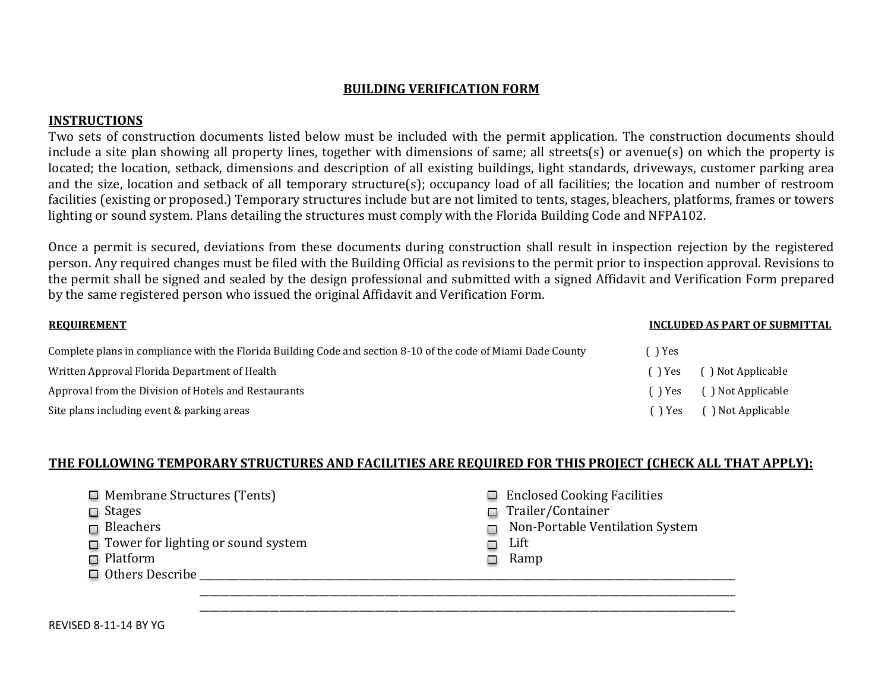## **BUILDING VERIFICATION FORM**

# **INSTRUCTIONS**

Two sets of construction documents listed below must be included with the permit application. The construction documents should include a site plan showing all property lines, together with dimensions of same; all streets(s) or avenue(s) on which the property is located; the location, setback, dimensions and description of all existing buildings, light standards, driveways, customer parking area and the size, location and setback of all temporary structure(s); occupancy load of all facilities; the location and number of restroom facilities (existing or proposed.) Temporary structures include but are not limited to tents, stages, bleachers, platforms, frames or towers lighting or sound system. Plans detailing the structures must comply with the Florida Building Code and NFPA102.

Once a permit is secured, deviations from these documents during construction shall result in inspection rejection by the registered person. Any required changes must be filed with the Building Official as revisions to the permit prior to inspection approval. Revisions to the permit shall be signed and sealed by the design professional and submitted with a signed Affidavit and Verification Form prepared by the same registered person who issued the original Affidavit and Verification Form.

| <b>REQUIREMENT</b>                                                                                            |               | INCLUDED AS PART OF SUBMITTAL |
|---------------------------------------------------------------------------------------------------------------|---------------|-------------------------------|
| Complete plans in compliance with the Florida Building Code and section 8-10 of the code of Miami Dade County | r Yes         |                               |
| Written Approval Florida Department of Health                                                                 | r Yes         | () Not Applicable             |
| Approval from the Division of Hotels and Restaurants                                                          | (        )Yes | () Not Applicable             |
| Site plans including event & parking areas                                                                    | k ) Yes       | () Not Applicable             |

# **THE FOLLOWING TEMPORARY STRUCTURES AND FACILITIES ARE REQUIRED FOR THIS PROJECT (CHECK ALL THAT APPLY):**

| $\Box$ Membrane Structures (Tents)<br>$\Box$ Stages<br>$\Box$ Bleachers<br>$\Box$ Tower for lighting or sound system<br>$\Box$ Platform<br>$\Box$ Others Describe | <b>Enclosed Cooking Facilities</b><br>$\Box$<br>$\Box$ Trailer/Container<br>Non-Portable Ventilation System<br>$\Box$<br>Lift<br>Ξ<br>Ramp |
|-------------------------------------------------------------------------------------------------------------------------------------------------------------------|--------------------------------------------------------------------------------------------------------------------------------------------|
|                                                                                                                                                                   |                                                                                                                                            |

\_\_\_\_\_\_\_\_\_\_\_\_\_\_\_\_\_\_\_\_\_\_\_\_\_\_\_\_\_\_\_\_\_\_\_\_\_\_\_\_\_\_\_\_\_\_\_\_\_\_\_\_\_\_\_\_\_\_\_\_\_\_\_\_\_\_\_\_\_\_\_\_\_\_\_\_\_\_\_\_\_\_\_\_\_\_\_\_\_\_\_\_\_\_\_\_\_\_\_\_\_\_\_\_\_\_\_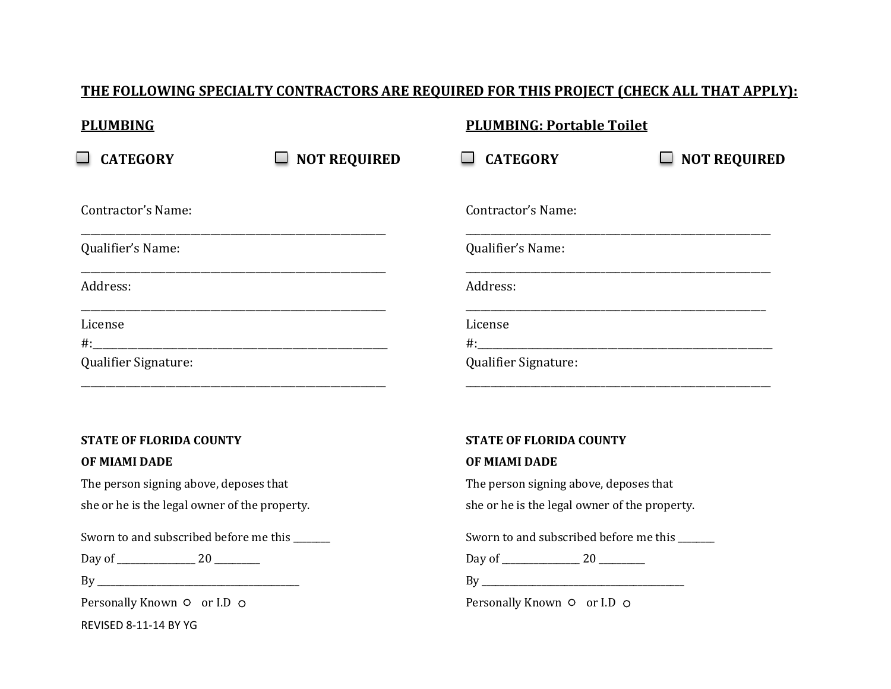| <b>PLUMBING</b>                 |                          | <b>PLUMBING: Portable Toilet</b> |                     |
|---------------------------------|--------------------------|----------------------------------|---------------------|
| <b>CATEGORY</b>                 | <b>NOT REQUIRED</b><br>┙ | <b>CATEGORY</b>                  | <b>NOT REQUIRED</b> |
| Contractor's Name:              |                          | Contractor's Name:               |                     |
| Qualifier's Name:               |                          | Qualifier's Name:                |                     |
| Address:                        |                          | Address:                         |                     |
| License<br>Qualifier Signature: |                          | License<br>Qualifier Signature:  |                     |
|                                 |                          |                                  |                     |

# **STATE OF FLORIDA COUNTY**

#### **OF MIAMI DADE**

The person signing above, deposes that she or he is the legal owner of the property.

\_\_\_\_\_\_\_\_\_\_\_\_\_\_\_\_\_\_\_\_\_\_\_\_\_\_\_\_\_\_\_\_\_\_\_\_\_\_\_\_\_\_\_\_\_\_\_\_\_\_\_\_\_\_\_\_\_\_\_\_\_

Sworn to and subscribed before me this \_\_\_\_\_\_\_\_

Day of \_\_\_\_\_\_\_\_\_\_\_\_\_\_\_\_\_ 20 \_\_\_\_\_\_\_\_\_\_

 $\operatorname{By}$ 

Personally Known  $\circ$  or I.D  $\circ$ 

REVISED 8-11-14 BY YG

### **STATE OF FLORIDA COUNTY**

#### **OF MIAMI DADE**

The person signing above, deposes that

she or he is the legal owner of the property.

Sworn to and subscribed before me this \_\_\_\_\_\_\_

\_\_\_\_\_\_\_\_\_\_\_\_\_\_\_\_\_\_\_\_\_\_\_\_\_\_\_\_\_\_\_\_\_\_\_\_\_\_\_\_\_\_\_\_\_\_\_\_\_\_\_\_\_\_\_\_\_\_\_\_\_

Day of \_\_\_\_\_\_\_\_\_\_\_\_\_\_\_\_\_ 20 \_\_\_\_\_\_\_\_\_\_

By \_\_\_\_\_\_\_\_\_\_\_\_\_\_\_\_\_\_\_\_\_\_\_\_\_\_\_\_\_\_\_\_\_\_\_\_\_\_\_\_\_\_\_\_

Personally Known  $\circ$  or I.D  $\circ$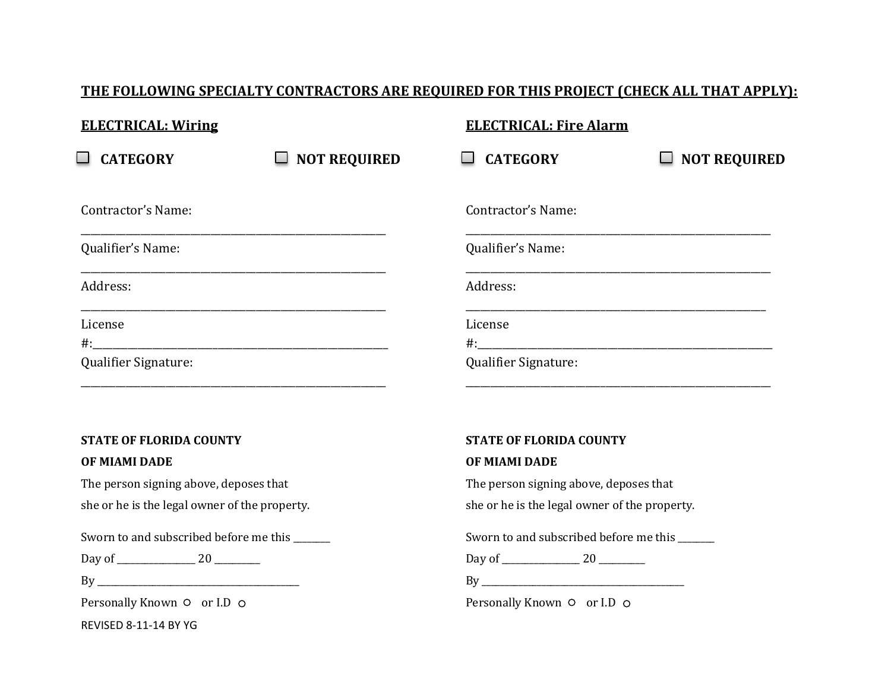| <b>ELECTRICAL: Wiring</b> |                               | <b>ELECTRICAL: Fire Alarm</b> |                     |
|---------------------------|-------------------------------|-------------------------------|---------------------|
| <b>CATEGORY</b>           | <b>NOT REQUIRED</b><br>$\Box$ | <b>CATEGORY</b>               | <b>NOT REQUIRED</b> |
| Contractor's Name:        |                               | Contractor's Name:            |                     |
| Qualifier's Name:         |                               | Qualifier's Name:             |                     |
| Address:                  |                               | Address:                      |                     |
| License                   |                               | License                       |                     |
| Qualifier Signature:      |                               | Qualifier Signature:          |                     |

## **STATE OF FLORIDA COUNTY**

#### **OF MIAMI DADE**

The person signing above, deposes that she or he is the legal owner of the property.

\_\_\_\_\_\_\_\_\_\_\_\_\_\_\_\_\_\_\_\_\_\_\_\_\_\_\_\_\_\_\_\_\_\_\_\_\_\_\_\_\_\_\_\_\_\_\_\_\_\_\_\_\_\_\_\_\_\_\_\_\_

Sworn to and subscribed before me this \_\_\_\_\_\_\_

Day of \_\_\_\_\_\_\_\_\_\_\_\_\_\_\_\_\_ 20 \_\_\_\_\_\_\_\_\_\_

 $\operatorname{By}$ 

Personally Known  $\circ$  or I.D  $\circ$ 

REVISED 8-11-14 BY YG

### **STATE OF FLORIDA COUNTY**

#### **OF MIAMI DADE**

The person signing above, deposes that

she or he is the legal owner of the property.

Sworn to and subscribed before me this \_\_\_\_\_\_\_

\_\_\_\_\_\_\_\_\_\_\_\_\_\_\_\_\_\_\_\_\_\_\_\_\_\_\_\_\_\_\_\_\_\_\_\_\_\_\_\_\_\_\_\_\_\_\_\_\_\_\_\_\_\_\_\_\_\_\_\_\_

Day of \_\_\_\_\_\_\_\_\_\_\_\_\_\_\_\_\_ 20 \_\_\_\_\_\_\_\_\_\_

By \_\_\_\_\_\_\_\_\_\_\_\_\_\_\_\_\_\_\_\_\_\_\_\_\_\_\_\_\_\_\_\_\_\_\_\_\_\_\_\_\_\_\_\_

Personally Known  $\circ$  or I.D  $\circ$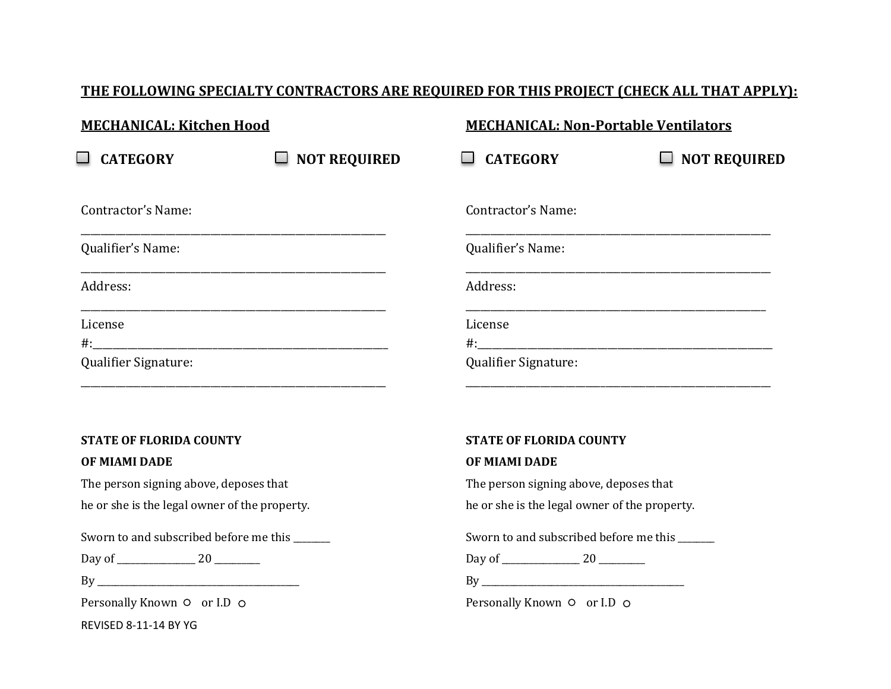| <b>MECHANICAL: Kitchen Hood</b> |                     | <b>MECHANICAL: Non-Portable Ventilators</b> |                     |
|---------------------------------|---------------------|---------------------------------------------|---------------------|
| <b>CATEGORY</b>                 | <b>NOT REQUIRED</b> | <b>CATEGORY</b>                             | <b>NOT REQUIRED</b> |
| Contractor's Name:              |                     | Contractor's Name:                          |                     |
| Qualifier's Name:               |                     | Qualifier's Name:                           |                     |
| Address:                        |                     | Address:                                    |                     |
| License                         |                     | License                                     |                     |
| Qualifier Signature:            |                     | Qualifier Signature:                        |                     |

## **STATE OF FLORIDA COUNTY**

#### **OF MIAMI DADE**

The person signing above, deposes that

he or she is the legal owner of the property.

\_\_\_\_\_\_\_\_\_\_\_\_\_\_\_\_\_\_\_\_\_\_\_\_\_\_\_\_\_\_\_\_\_\_\_\_\_\_\_\_\_\_\_\_\_\_\_\_\_\_\_\_\_\_\_\_\_\_\_\_\_

Sworn to and subscribed before me this \_\_\_\_\_\_\_\_

Day of \_\_\_\_\_\_\_\_\_\_\_\_\_\_\_\_\_ 20 \_\_\_\_\_\_\_\_\_\_

 $\operatorname{By}$ 

Personally Known  $\circ$  or I.D  $\circ$ 

REVISED 8-11-14 BY YG

### **STATE OF FLORIDA COUNTY**

#### **OF MIAMI DADE**

The person signing above, deposes that

he or she is the legal owner of the property.

Sworn to and subscribed before me this \_\_\_\_\_\_\_

\_\_\_\_\_\_\_\_\_\_\_\_\_\_\_\_\_\_\_\_\_\_\_\_\_\_\_\_\_\_\_\_\_\_\_\_\_\_\_\_\_\_\_\_\_\_\_\_\_\_\_\_\_\_\_\_\_\_\_\_\_

Day of \_\_\_\_\_\_\_\_\_\_\_\_\_\_\_\_\_ 20 \_\_\_\_\_\_\_\_\_\_

By \_\_\_\_\_\_\_\_\_\_\_\_\_\_\_\_\_\_\_\_\_\_\_\_\_\_\_\_\_\_\_\_\_\_\_\_\_\_\_\_\_\_\_\_

Personally Known  $\circ$  or I.D  $\circ$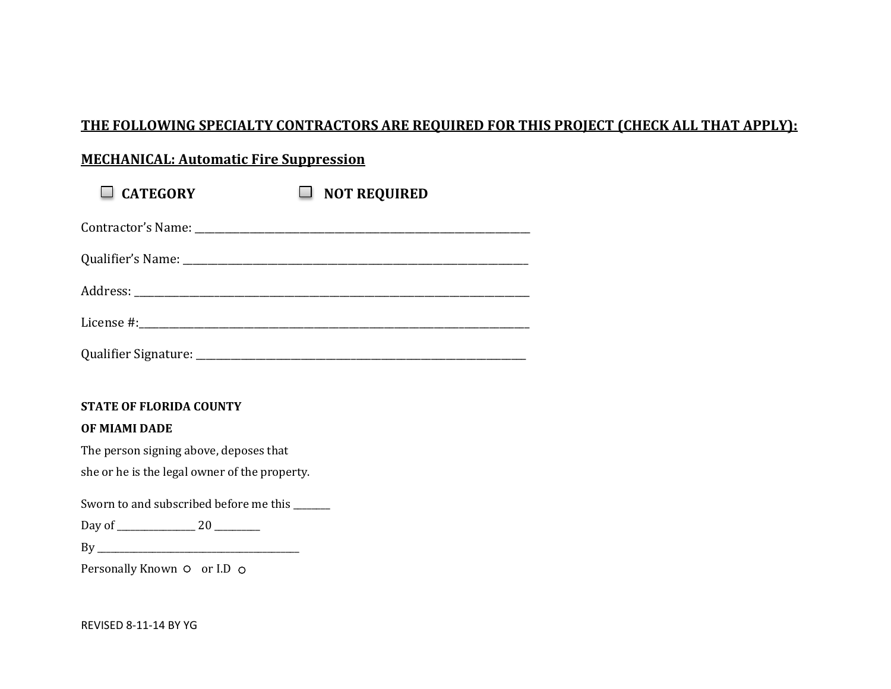# **MECHANICAL: Automatic Fire Suppression**

| $\Box$ CATEGORY | <b>NOT REQUIRED</b> |
|-----------------|---------------------|
|                 |                     |
|                 |                     |
|                 |                     |
|                 |                     |
|                 |                     |

### **STATE OF FLORIDA COUNTY**

### **OF MIAMI DADE**

The person signing above, deposes that she or he is the legal owner of the property.

Sworn to and subscribed before me this \_\_\_\_\_\_\_

Day of \_\_\_\_\_\_\_\_\_\_\_\_\_\_\_\_\_ 20 \_\_\_\_\_\_\_\_\_\_

By \_\_\_\_\_\_\_\_\_\_\_\_\_\_\_\_\_\_\_\_\_\_\_\_\_\_\_\_\_\_\_\_\_\_\_\_\_\_\_\_\_\_\_\_

Personally Known  $\circ$  or I.D  $\circ$ 

REVISED 8-11-14 BY YG